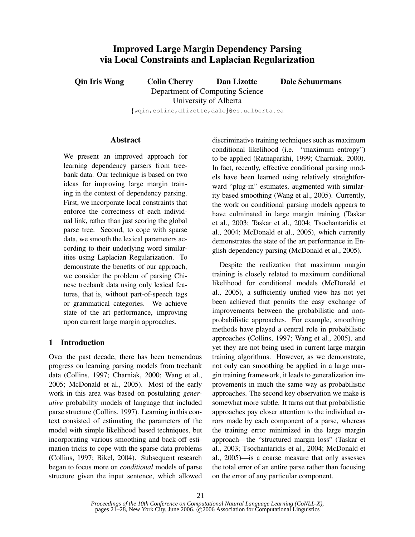# **Improved Large Margin Dependency Parsing via Local Constraints and Laplacian Regularization**

**Qin Iris Wang Colin Cherry Dan Lizotte Dale Schuurmans** Department of Computing Science University of Alberta

 $\{\texttt{wqin}, \texttt{colinc}, \texttt{dlic}, \texttt{dale}\}$ @cs.ualberta.ca

#### **Abstract**

We present an improved approach for learning dependency parsers from treebank data. Our technique is based on two ideas for improving large margin training in the context of dependency parsing. First, we incorporate local constraints that enforce the correctness of each individual link, rather than just scoring the global parse tree. Second, to cope with sparse data, we smooth the lexical parameters according to their underlying word similarities using Laplacian Regularization. To demonstrate the benefits of our approach, we consider the problem of parsing Chinese treebank data using only lexical features, that is, without part-of-speech tags or grammatical categories. We achieve state of the art performance, improving upon current large margin approaches.

# **1 Introduction**

Over the past decade, there has been tremendous progress on learning parsing models from treebank data (Collins, 1997; Charniak, 2000; Wang et al., 2005; McDonald et al., 2005). Most of the early work in this area was based on postulating *generative* probability models of language that included parse structure (Collins, 1997). Learning in this context consisted of estimating the parameters of the model with simple likelihood based techniques, but incorporating various smoothing and back-off estimation tricks to cope with the sparse data problems (Collins, 1997; Bikel, 2004). Subsequent research began to focus more on *conditional* models of parse structure given the input sentence, which allowed

discriminative training techniques such as maximum conditional likelihood (i.e. "maximum entropy") to be applied (Ratnaparkhi, 1999; Charniak, 2000). In fact, recently, effective conditional parsing models have been learned using relatively straightforward "plug-in" estimates, augmented with similarity based smoothing (Wang et al., 2005). Currently, the work on conditional parsing models appears to have culminated in large margin training (Taskar et al., 2003; Taskar et al., 2004; Tsochantaridis et al., 2004; McDonald et al., 2005), which currently demonstrates the state of the art performance in English dependency parsing (McDonald et al., 2005).

Despite the realization that maximum margin training is closely related to maximum conditional likelihood for conditional models (McDonald et al., 2005), a sufficiently unified view has not yet been achieved that permits the easy exchange of improvements between the probabilistic and nonprobabilistic approaches. For example, smoothing methods have played a central role in probabilistic approaches (Collins, 1997; Wang et al., 2005), and yet they are not being used in current large margin training algorithms. However, as we demonstrate, not only can smoothing be applied in a large margin training framework, it leads to generalization improvements in much the same way as probabilistic approaches. The second key observation we make is somewhat more subtle. It turns out that probabilistic approaches pay closer attention to the individual errors made by each component of a parse, whereas the training error minimized in the large margin approach—the "structured margin loss" (Taskar et al., 2003; Tsochantaridis et al., 2004; McDonald et al., 2005)—is a coarse measure that only assesses the total error of an entire parse rather than focusing on the error of any particular component.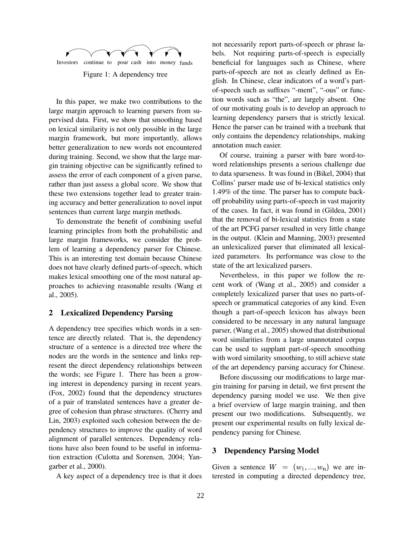

In this paper, we make two contributions to the large margin approach to learning parsers from supervised data. First, we show that smoothing based on lexical similarity is not only possible in the large margin framework, but more importantly, allows better generalization to new words not encountered during training. Second, we show that the large margin training objective can be significantly refined to assess the error of each component of a given parse, rather than just assess a global score. We show that these two extensions together lead to greater training accuracy and better generalization to novel input sentences than current large margin methods.

To demonstrate the benefit of combining useful learning principles from both the probabilistic and large margin frameworks, we consider the problem of learning a dependency parser for Chinese. This is an interesting test domain because Chinese does not have clearly defined parts-of-speech, which makes lexical smoothing one of the most natural approaches to achieving reasonable results (Wang et al., 2005).

# **2 Lexicalized Dependency Parsing**

A dependency tree specifies which words in a sentence are directly related. That is, the dependency structure of a sentence is a directed tree where the nodes are the words in the sentence and links represent the direct dependency relationships between the words; see Figure 1. There has been a growing interest in dependency parsing in recent years. (Fox, 2002) found that the dependency structures of a pair of translated sentences have a greater degree of cohesion than phrase structures. (Cherry and Lin, 2003) exploited such cohesion between the dependency structures to improve the quality of word alignment of parallel sentences. Dependency relations have also been found to be useful in information extraction (Culotta and Sorensen, 2004; Yangarber et al., 2000).

A key aspect of a dependency tree is that it does

not necessarily report parts-of-speech or phrase labels. Not requiring parts-of-speech is especially beneficial for languages such as Chinese, where parts-of-speech are not as clearly defined as English. In Chinese, clear indicators of a word's partof-speech such as suffixes "-ment", "-ous" or function words such as "the", are largely absent. One of our motivating goals is to develop an approach to learning dependency parsers that is strictly lexical. Hence the parser can be trained with a treebank that only contains the dependency relationships, making annotation much easier.

Of course, training a parser with bare word-toword relationships presents a serious challenge due to data sparseness. It was found in (Bikel, 2004) that Collins' parser made use of bi-lexical statistics only 1.49% of the time. The parser has to compute backoff probability using parts-of-speech in vast majority of the cases. In fact, it was found in (Gildea, 2001) that the removal of bi-lexical statistics from a state of the art PCFG parser resulted in very little change in the output. (Klein and Manning, 2003) presented an unlexicalized parser that eliminated all lexicalized parameters. Its performance was close to the state of the art lexicalized parsers.

Nevertheless, in this paper we follow the recent work of (Wang et al., 2005) and consider a completely lexicalized parser that uses no parts-ofspeech or grammatical categories of any kind. Even though a part-of-speech lexicon has always been considered to be necessary in any natural language parser, (Wang et al., 2005) showed that distributional word similarities from a large unannotated corpus can be used to supplant part-of-speech smoothing with word similarity smoothing, to still achieve state of the art dependency parsing accuracy for Chinese.

Before discussing our modifications to large margin training for parsing in detail, we first present the dependency parsing model we use. We then give a brief overview of large margin training, and then present our two modifications. Subsequently, we present our experimental results on fully lexical dependency parsing for Chinese.

# **3 Dependency Parsing Model**

Given a sentence  $W = (w_1, ..., w_n)$  we are interested in computing a directed dependency tree,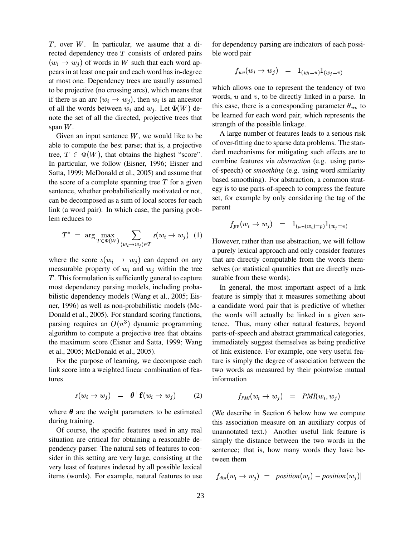$T$ , over  $W$ . In particular, we assume that a directed dependency tree  $T$  consists of ordered pairs  $(w_i \rightarrow w_j)$  of words in W such that each word appears in at least one pair and each word has in-degree at most one. Dependency trees are usually assumed to be projective (no crossing arcs), which means that if there is an arc  $(w_i \rightarrow w_i)$ , then  $w_i$  is an ancestor of all the words between  $w_i$  and  $w_j$ . Let  $\Phi(W)$  denote the set of all the directed, projective trees that span  $W$ .

Given an input sentence  $W$ , we would like to be able to compute the best parse; that is, a projective tree,  $T \in \Phi(W)$ , that obtains the highest "score". In particular, we follow (Eisner, 1996; Eisner and Satta, 1999; McDonald et al., 2005) and assume that the score of a complete spanning tree  $T$  for a given sentence, whether probabilistically motivated or not, can be decomposed as a sum of local scores for each link (a word pair). In which case, the parsing problem reduces to

$$
T^* = \arg \max_{T \in \Phi(W)} \sum_{(w_i \to w_j) \in T} s(w_i \to w_j) \quad (1)
$$
 Ho

where the score  $s(w_i \rightarrow w_j)$  can depend on any measurable property of  $w_i$  and  $w_j$  within the tree . This formulation is sufficiently general to capture most dependency parsing models, including probabilistic dependency models (Wang et al., 2005; Eisner, 1996) as well as non-probabilistic models (Mc-Donald et al., 2005). For standard scoring functions, parsing requires an  $O(n^3)$  dynamic programming algorithm to compute a projective tree that obtains the maximum score (Eisner and Satta, 1999; Wang et al., 2005; McDonald et al., 2005).

For the purpose of learning, we decompose each link score into a weighted linear combination of features

$$
s(w_i \to w_j) = \boldsymbol{\theta}^\top \mathbf{f}(w_i \to w_j) \qquad (2)
$$

where  $\theta$  are the weight parameters to be estimated during training.

Of course, the specific features used in any real situation are critical for obtaining a reasonable dependency parser. The natural sets of features to consider in this setting are very large, consisting at the very least of features indexed by all possible lexical items (words). For example, natural features to use for dependency parsing are indicators of each possible word pair

$$
f_{uv}(w_i\rightarrow w_j) \quad = \quad 1_{(w_i=u)}1_{(w_j=v)}
$$

which allows one to represent the tendency of two words,  $u$  and  $v$ , to be directly linked in a parse. In this case, there is a corresponding parameter  $\theta_{uv}$  to be learned for each word pair, which represents the strength of the possible linkage.

A large number of features leads to a serious risk of over-fitting due to sparse data problems. The standard mechanisms for mitigating such effects are to combine features via *abstraction* (e.g. using partsof-speech) or *smoothing* (e.g. using word similarity based smoothing). For abstraction, a common strategy is to use parts-of-speech to compress the feature set, for example by only considering the tag of the parent

$$
f_{pv}(w_i \to w_j) = 1_{(pos(w_i)=p)} 1_{(w_j=v)}
$$

However, rather than use abstraction, we will follow a purely lexical approach and only consider features that are directly computable from the words themselves (or statistical quantities that are directly measurable from these words).

In general, the most important aspect of a link feature is simply that it measures something about a candidate word pair that is predictive of whether the words will actually be linked in a given sentence. Thus, many other natural features, beyond parts-of-speech and abstract grammatical categories, immediately suggest themselves as being predictive of link existence. For example, one very useful feature is simply the degree of association between the two words as measured by their pointwise mutual information

$$
f_{PMI}(w_i \to w_j) = PMI(w_i, w_j)
$$

(We describe in Section 6 below how we compute this association measure on an auxiliary corpus of unannotated text.) Another useful link feature is simply the distance between the two words in the sentence; that is, how many words they have between them

$$
f_{\text{dist}}(w_i \to w_j) = |position(w_i) - position(w_j)|
$$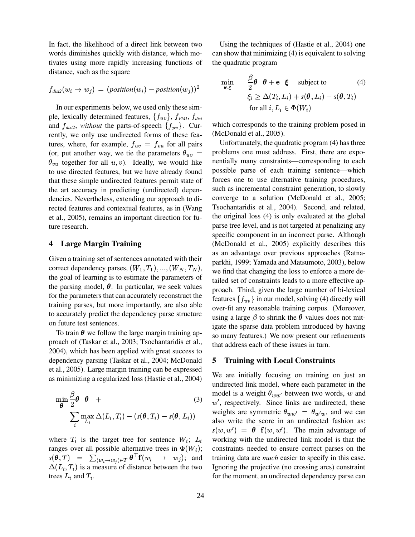In fact, the likelihood of a direct link between two words diminishes quickly with distance, which motivates using more rapidly increasing functions of distance, such as the square

$$
f_{\textit{dist2}}(w_i \rightarrow w_j) \, = \, (position(w_i) - position(w_j))^2
$$

In our experiments below, we used only these simple, lexically determined features,  $\{f_{uv}\}$ ,  $f_{PMI}$ ,  $f_{dist}$ and  $f_{dist2}$ , *without* the parts-of-speech  $\{f_{pv}\}$ . Currently, we only use undirected forms of these features, where, for example,  $f_{uv} = f_{vu}$  for all pairs (or, put another way, we tie the parameters  $\theta_{uv} = \phi$  $\theta_{vu}$  together for all  $u, v$ ). Ideally, we would like to use directed features, but we have already found that these simple undirected features permit state of the art accuracy in predicting (undirected) dependencies. Nevertheless, extending our approach to directed features and contextual features, as in (Wang et al., 2005), remains an important direction for future research.

## **4 Large Margin Training**

Given a training set of sentences annotated with their correct dependency parses,  $(W_1, T_1), ..., (W_N, T_N)$ , we find the the goal of learning is to estimate the parameters of the parsing model,  $\theta$ . In particular, we seek values for the parameters that can accurately reconstruct the training parses, but more importantly, are also able to accurately predict the dependency parse structure on future test sentences.

To train  $\theta$  we follow the large margin training approach of (Taskar et al., 2003; Tsochantaridis et al., 2004), which has been applied with great success to dependency parsing (Taskar et al., 2004; McDonald et al., 2005). Large margin training can be expressed as minimizing a regularized loss (Hastie et al., 2004)

$$
\min_{\boldsymbol{\theta}} \frac{\beta}{2} \boldsymbol{\theta}^\top \boldsymbol{\theta} + \tag{3}
$$
\n
$$
\sum_{i} \max_{L_i} \Delta(L_i, T_i) - (s(\boldsymbol{\theta}, T_i) - s(\boldsymbol{\theta}, L_i))
$$

where  $T_i$  is the target tree for sentence  $W_i$ ;  $L_i$  v ranges over all possible alternative trees in  $\Phi(W_i)$ ; c  $s(\theta,T) = \sum_{(w_i \to w_i) \in T} \theta^{\top} f(w_i \to w_j);$  and train  $\Delta(L_i, T_i)$  is a measure of distance between the two trees  $L_i$  and  $T_i$ .

Using the techniques of (Hastie et al., 2004) one can show that minimizing (4) is equivalent to solving the quadratic program

$$
\min_{\boldsymbol{\theta}, \boldsymbol{\xi}} \quad \frac{\beta}{2} \boldsymbol{\theta}^\top \boldsymbol{\theta} + \mathbf{e}^\top \boldsymbol{\xi} \quad \text{subject to} \tag{4}
$$
\n
$$
\xi_i \geq \Delta(T_i, L_i) + s(\boldsymbol{\theta}, L_i) - s(\boldsymbol{\theta}, T_i)
$$
\n
$$
\text{for all } i, L_i \in \Phi(W_i)
$$

which corresponds to the training problem posed in (McDonald et al., 2005).

 Unfortunately, the quadratic program (4) has three problems one must address. First, there are exponentially many constraints—corresponding to each possible parse of each training sentence—which forces one to use alternative training procedures, such as incremental constraint generation, to slowly converge to a solution (McDonald et al., 2005; Tsochantaridis et al., 2004). Second, and related, the original loss (4) is only evaluated at the global parse tree level, and is not targeted at penalizing any specific component in an incorrect parse. Although (McDonald et al., 2005) explicitly describes this as an advantage over previous approaches (Ratnaparkhi, 1999; Yamada and Matsumoto, 2003), below we find that changing the loss to enforce a more detailed set of constraints leads to a more effective approach. Third, given the large number of bi-lexical features  $\{f_{uv}\}$  in our model, solving (4) directly will over-fit any reasonable training corpus. (Moreover, using a large  $\beta$  to shrink the  $\theta$  values does not mitigate the sparse data problem introduced by having so many features.) We now present our refinements that address each of these issues in turn.

#### **5 Training with Local Constraints**

We are initially focusing on training on just an undirected link model, where each parameter in the model is a weight  $\theta_{ww'}$  between two words, w and  $w'$ , respectively. Since links are undirected, these weights are symmetric  $\theta_{ww'} = \theta_{w'w}$ , and we can also write the score in an undirected fashion as:  $s(w, w') = \theta^{\top} f(w, w')$ . The main advantage of working with the undirected link model is that the constraints needed to ensure correct parses on the training data are *much* easier to specify in this case. Ignoring the projective (no crossing arcs) constraint for the moment, an undirected dependency parse can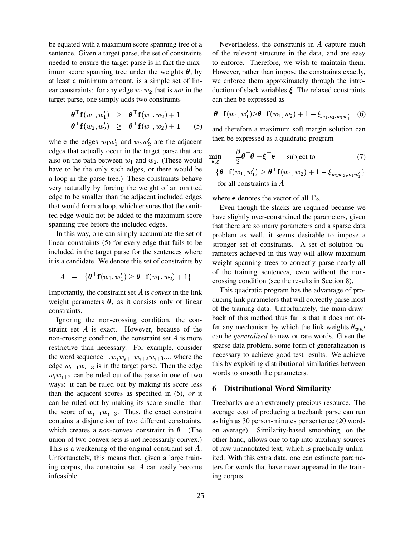be equated with a maximum score spanning tree of a sentence. Given a target parse, the set of constraints needed to ensure the target parse is in fact the maximum score spanning tree under the weights  $\theta$ , by at least a minimum amount, is a simple set of linear constraints: for any edge  $w_1w_2$  that is *not* in the target parse, one simply adds two constraints

$$
\begin{array}{rcl}\n\boldsymbol{\theta}^\top \mathbf{f}(w_1, w_1') & \geq & \boldsymbol{\theta}^\top \mathbf{f}(w_1, w_2) + 1 \\
\boldsymbol{\theta}^\top \mathbf{f}(w_2, w_2') & \geq & \boldsymbol{\theta}^\top \mathbf{f}(w_1, w_2) + 1\n\end{array} \tag{5}
$$

where the edges  $w_1w_1'$  and  $w_2w_2'$  are the adjacent edges that actually occur in the target parse that are also on the path between  $w_1$  and  $w_2$ . (These would have to be the only such edges, or there would be a loop in the parse tree.) These constraints behave very naturally by forcing the weight of an omitted edge to be smaller than the adjacent included edges that would form a loop, which ensures that the omitted edge would not be added to the maximum score spanning tree before the included edges.

In this way, one can simply accumulate the set of linear constraints (5) for every edge that fails to be included in the target parse for the sentences where it is a candidate. We denote this set of constraints by

$$
A \hspace{2mm} = \hspace{2mm} \{\boldsymbol{\theta}^{\top}\mathbf{f}(w_1,w_1') \geq \boldsymbol{\theta}^{\top}\mathbf{f}(w_1,w_2)+1\} \hspace{1.2cm} \in \hspace{1.2cm} \infty
$$

Importantly, the constraint set  $A$  is *convex* in the link weight parameters  $\theta$ , as it consists only of linear constraints.

Ignoring the non-crossing condition, the constraint set  $A$  is exact. However, because of the non-crossing condition, the constraint set  $A$  is more can restrictive than necessary. For example, consider the word sequence  $...w_i w_{i+1} w_{i+2} w_{i+3} ...$ , where the edge  $w_{i+1}w_{i+3}$  is in the target parse. Then the edge  $w_i w_{i+2}$  can be ruled out of the parse in one of two ways: it can be ruled out by making its score less than the adjacent scores as specified in (5), *or* it can be ruled out by making its score smaller than the score of  $w_{i+1}w_{i+3}$ . Thus, the exact constraint contains a disjunction of two different constraints, which creates a *non*-convex constraint in  $\theta$ . (The union of two convex sets is not necessarily convex.) This is a weakening of the original constraint set  $A$ . of raw unar Unfortunately, this means that, given a large training corpus, the constraint set  $A$  can easily become infeasible.

Nevertheless, the constraints in  $A$  capture much of the relevant structure in the data, and are easy to enforce. Therefore, we wish to maintain them. However, rather than impose the constraints exactly, we enforce them approximately through the introduction of slack variables  $\xi$ . The relaxed constraints can then be expressed as

$$
\boldsymbol{\theta}^{\top} \mathbf{f}(w_1, w_1') \geq \boldsymbol{\theta}^{\top} \mathbf{f}(w_1, w_2) + 1 - \xi_{w_1 w_2, w_1 w_1'} \quad (6)
$$

and therefore a maximum soft margin solution can then be expressed as a quadratic program

$$
\min_{\theta,\xi} \quad \frac{\beta}{2} \theta^{\top} \theta + \xi^{\top} e \quad \text{subject to} \quad (7)
$$
\n
$$
\{\theta^{\top} f(w_1, w_1') \geq \theta^{\top} f(w_1, w_2) + 1 - \xi_{w_1 w_2, w_1 w_1'}\}
$$
\nfor all constraints in  $A$ 

where e denotes the vector of all 1's.

Even though the slacks are required because we have slightly over-constrained the parameters, given that there are so many parameters and a sparse data problem as well, it seems desirable to impose a stronger set of constraints. A set of solution parameters achieved in this way will allow maximum weight spanning trees to correctly parse nearly all of the training sentences, even without the noncrossing condition (see the results in Section 8).

This quadratic program has the advantage of producing link parameters that will correctly parse most of the training data. Unfortunately, the main drawback of this method thus far is that it does not offer any mechanism by which the link weights  $\theta_{ww'}$ can be *generalized* to new or rare words. Given the sparse data problem, some form of generalization is necessary to achieve good test results. We achieve this by exploiting distributional similarities between words to smooth the parameters.

#### **6 Distributional Word Similarity**

Treebanks are an extremely precious resource. The average cost of producing a treebank parse can run as high as 30 person-minutes per sentence (20 words on average). Similarity-based smoothing, on the other hand, allows one to tap into auxiliary sources of raw unannotated text, which is practically unlimited. With this extra data, one can estimate parameters for words that have never appeared in the training corpus.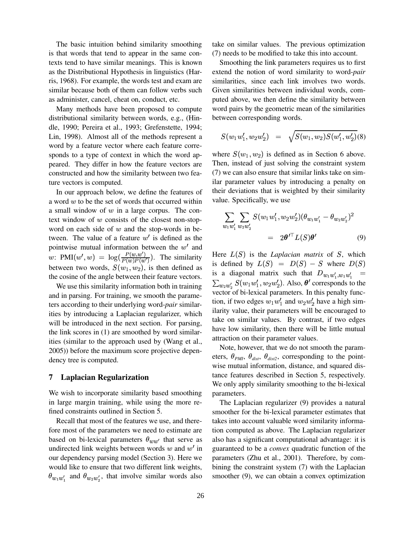The basic intuition behind similarity smoothing is that words that tend to appear in the same contexts tend to have similar meanings. This is known as the Distributional Hypothesis in linguistics (Harris, 1968). For example, the words test and exam are similar because both of them can follow verbs such as administer, cancel, cheat on, conduct, etc.

Many methods have been proposed to compute distributional similarity between words, e.g., (Hindle, 1990; Pereira et al., 1993; Grefenstette, 1994; Lin, 1998). Almost all of the methods represent a word by a feature vector where each feature corresponds to a type of context in which the word appeared. They differ in how the feature vectors are constructed and how the similarity between two feature vectors is computed.

In our approach below, we define the features of a word  $w$  to be the set of words that occurred within a small window of  $w$  in a large corpus. The context window of  $w$  consists of the closest non-stopword on each side of  $w$  and the stop-words in between. The value of a feature  $w'$  is defined as the pointwise mutual information between the  $w'$  and w: PMI $(w', w) = \log(\frac{P(w, w')}{P(w)P(w')}$ . The similarity between two words,  $S(w_1, w_2)$ , is then defined as the cosine of the angle between their feature vectors.

We use this similarity information both in training and in parsing. For training, we smooth the parameters according to their underlying word-*pair* similarities by introducing a Laplacian regularizer, which will be introduced in the next section. For parsing, the link scores in (1) are smoothed by word similarities (similar to the approach used by (Wang et al., 2005)) before the maximum score projective dependency tree is computed.

## **7 Laplacian Regularization**

We wish to incorporate similarity based smoothing in large margin training, while using the more refined constraints outlined in Section 5.

Recall that most of the features we use, and therefore most of the parameters we need to estimate are based on bi-lexical parameters  $\theta_{ww'}$  that serve as undirected link weights between words  $w$  and  $w'$  in our dependency parsing model (Section 3). Here we would like to ensure that two different link weights,  $\theta_{w_1w_1'}$  and  $\theta_{w_2w_2'}$ , that involve similar words also

take on similar values. The previous optimization (7) needs to be modified to take this into account.

Smoothing the link parameters requires us to first extend the notion of word similarity to word-*pair* similarities, since each link involves two words. Given similarities between individual words, computed above, we then define the similarity between word pairs by the geometric mean of the similarities between corresponding words.

$$
S(w_1w_1',w_2w_2') \quad = \quad \sqrt{S(w_1,w_2)S(w_1',w_2')}(8)
$$

where  $S(w_1, w_2)$  is defined as in Section 6 above. Then, instead of just solving the constraint system (7) we can also ensure that similar links take on similar parameter values by introducing a penalty on their deviations that is weighted by their similarity value. Specifically, we use

$$
\sum_{w_1 w_1'} \sum_{w_2 w_2'} S(w_1 w_1', w_2 w_2') (\theta_{w_1 w_1'} - \theta_{w_2 w_2'})^2
$$
  
=  $2\theta'^\top L(S)\theta'$  (9)

Here  $L(S)$  is the *Laplacian matrix* of  $S$ , which is defined by  $L(S) = D(S) - S$  where  $D(S)$ is a diagonal matrix such that  $D_{w_1w'_1,w_1w'_1}$  =  $\sum_{w_2 w_2'} S(w_1 w_1', w_2 w_2')$ . Also,  $\theta'$  corresponds to the vector of bi-lexical parameters. In this penalty function, if two edges  $w_1w_1'$  and  $w_2w_2'$  have a high similarity value, their parameters will be encouraged to take on similar values. By contrast, if two edges have low similarity, then there will be little mutual attraction on their parameter values.

Note, however, that we do not smooth the parameters,  $\theta_{PMI}$ ,  $\theta_{dist}$ ,  $\theta_{dist2}$ , corresponding to the pointwise mutual information, distance, and squared distance features described in Section 5, respectively. We only apply similarity smoothing to the bi-lexical parameters.

The Laplacian regularizer (9) provides a natural smoother for the bi-lexical parameter estimates that takes into account valuable word similarity information computed as above. The Laplacian regularizer also has a significant computational advantage: it is guaranteed to be a *convex* quadratic function of the parameters (Zhu et al., 2001). Therefore, by combining the constraint system (7) with the Laplacian smoother (9), we can obtain a convex optimization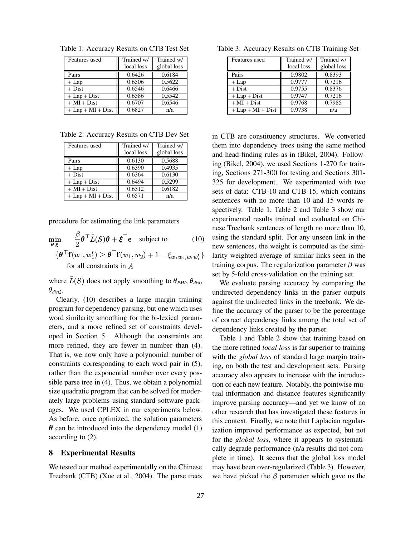| Features used       | Trained w/ | Trained w/  |
|---------------------|------------|-------------|
|                     | local loss | global loss |
| Pairs               | 0.6426     | 0.6184      |
| $+$ Lap             | 0.6506     | 0.5622      |
| $+$ Dist            | 0.6546     | 0.6466      |
| $+$ Lap + Dist      | 0.6586     | 0.5542      |
| $+MI + Dist$        | 0.6707     | 0.6546      |
| $+$ Lap + MI + Dist | 0.6827     | n/a         |

Table 1: Accuracy Results on CTB Test Set

Table 2: Accuracy Results on CTB Dev Set

| Features used           | Trained w/<br>local loss | Trained w/<br>global loss |
|-------------------------|--------------------------|---------------------------|
| Pairs                   | 0.6130                   | 0.5688                    |
| $+$ Lap                 | 0.6390                   | 0.4935                    |
| $+$ Dist                | 0.6364                   | 0.6130                    |
| $+$ Lap + Dist          | 0.6494                   | 0.5299                    |
| $+\overline{M}I + Dist$ | 0.6312                   | 0.6182                    |
| $+$ Lap + MI + Dist     | 0.6571                   | n/a                       |

procedure for estimating the link parameters

tura de la construcción de la construcción de la construcción de la construcción de la construcción de la construcción de la construcción de la construcción de la construcción de la construcción de la construcción de la co

| $\min_{\theta,\xi}$ | $\frac{\beta}{2} \theta^{\top} \tilde{L}(S) \theta + \xi^{\top} e$ subject to                                                               | (10) |
|---------------------|---------------------------------------------------------------------------------------------------------------------------------------------|------|
|                     | $\{ \boldsymbol{\theta}^{\top} \mathbf{f}(w_1, w_1') \geq \boldsymbol{\theta}^{\top} \mathbf{f}(w_1, w_2) + 1 - \xi_{w_1 w_2, w_1 w_1'} \}$ |      |
|                     | for all constraints in $A$                                                                                                                  |      |

where  $\tilde{L}(S)$  does not apply smoothing to  $\theta_{PMI}$ ,  $\theta_{dist}$ ,  $\theta_{dist2}$ .

Clearly, (10) describes a large margin training program for dependency parsing, but one which uses word similarity smoothing for the bi-lexical parameters, and a more refined set of constraints developed in Section 5. Although the constraints are more refined, they are fewer in number than (4). That is, we now only have a polynomial number of constraints corresponding to each word pair in (5), rather than the exponential number over every possible parse tree in (4). Thus, we obtain a polynomial size quadratic program that can be solved for moderately large problems using standard software packages. We used CPLEX in our experiments below. As before, once optimized, the solution parameters  $\theta$  can be introduced into the dependency model (1) according to (2).

## **8 Experimental Results**

We tested our method experimentally on the Chinese Treebank (CTB) (Xue et al., 2004). The parse trees

| Features used                    | Trained w/ | Trained w/  |
|----------------------------------|------------|-------------|
|                                  | local loss | global loss |
| Pairs                            | 0.9802     | 0.8393      |
| $+$ Lap                          | 0.9777     | 0.7216      |
| $+$ Dist                         | 0.9755     | 0.8376      |
| $+$ Lap + Dist                   | 0.9747     | 0.7216      |
| $+MI + Dist$                     | 0.9768     | 0.7985      |
| $+$ Lap + MI + $\overline{Dist}$ | 0.9738     | n/a         |

 $(1 + 1 - \xi_{w_1 w_2, w_1 w_1})$  larity weighted average of similar links seen in the in CTB are constituency structures. We converted them into dependency trees using the same method and head-finding rules as in (Bikel, 2004). Following (Bikel, 2004), we used Sections 1-270 for training, Sections 271-300 for testing and Sections 301- 325 for development. We experimented with two sets of data: CTB-10 and CTB-15, which contains sentences with no more than 10 and 15 words respectively. Table 1, Table 2 and Table 3 show our experimental results trained and evaluated on Chinese Treebank sentences of length no more than 10, using the standard split. For any unseen link in the new sentences, the weight is computed as the simitraining corpus. The regularization parameter  $\beta$  was set by 5-fold cross-validation on the training set.

> We evaluate parsing accuracy by comparing the undirected dependency links in the parser outputs against the undirected links in the treebank. We define the accuracy of the parser to be the percentage of correct dependency links among the total set of dependency links created by the parser.

> Table 1 and Table 2 show that training based on the more refined *local loss* is far superior to training with the *global loss* of standard large margin training, on both the test and development sets. Parsing accuracy also appears to increase with the introduction of each new feature. Notably, the pointwise mutual information and distance features significantly improve parsing accuracy—and yet we know of no other research that has investigated these features in this context. Finally, we note that Laplacian regularization improved performance as expected, but not for the *global loss*, where it appears to systematically degrade performance (n/a results did not complete in time). It seems that the global loss model may have been over-regularized (Table 3). However, we have picked the  $\beta$  parameter which gave us the